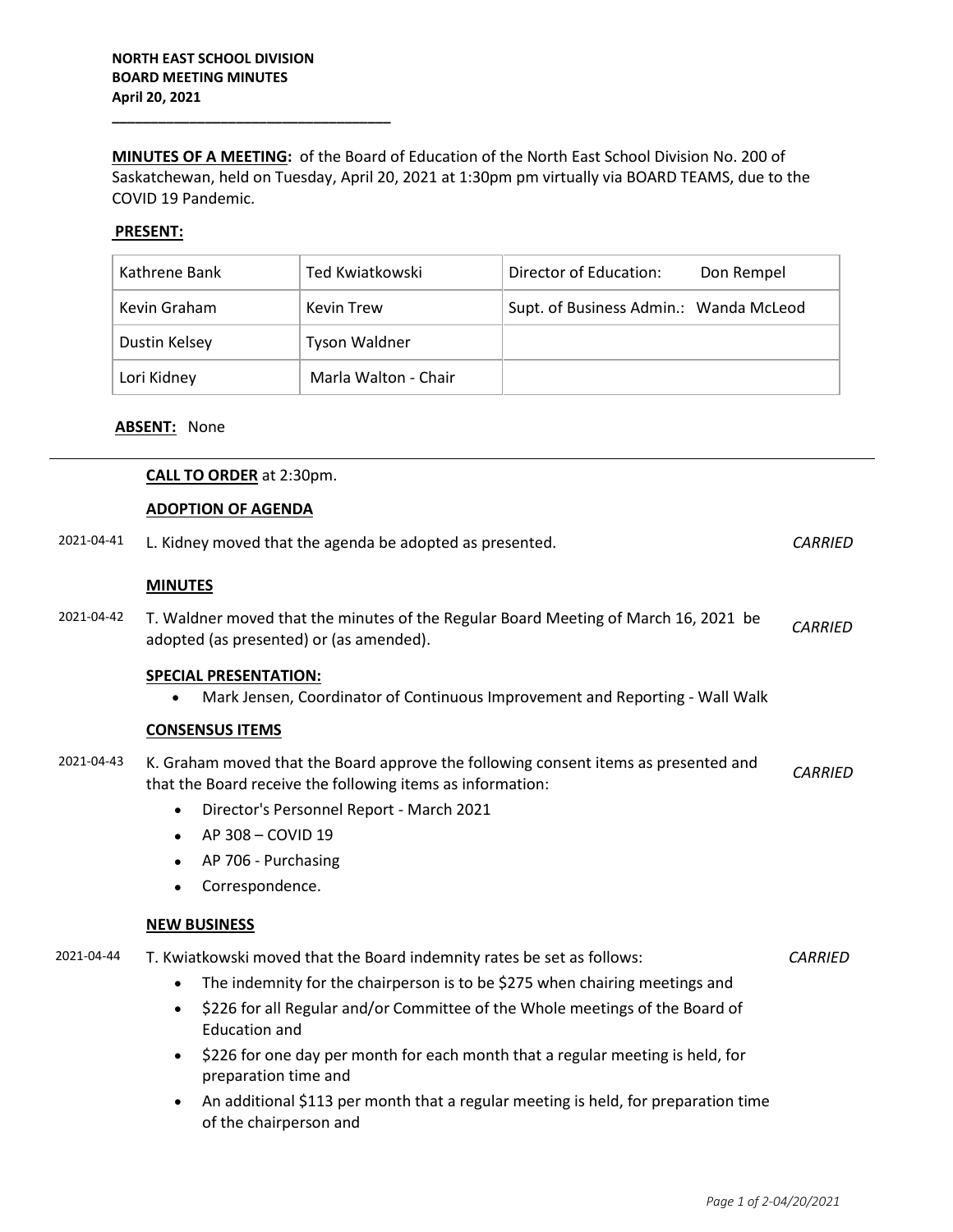**\_\_\_\_\_\_\_\_\_\_\_\_\_\_\_\_\_\_\_\_\_\_\_\_\_\_\_\_\_\_\_\_\_\_\_\_**

**MINUTES OF A MEETING:** of the Board of Education of the North East School Division No. 200 of Saskatchewan, held on Tuesday, April 20, 2021 at 1:30pm pm virtually via BOARD TEAMS, due to the COVID 19 Pandemic.

# **PRESENT:**

| Kathrene Bank | Ted Kwiatkowski      | Director of Education:                 | Don Rempel |
|---------------|----------------------|----------------------------------------|------------|
| Kevin Graham  | <b>Kevin Trew</b>    | Supt. of Business Admin.: Wanda McLeod |            |
| Dustin Kelsey | <b>Tyson Waldner</b> |                                        |            |
| Lori Kidney   | Marla Walton - Chair |                                        |            |

### **ABSENT:** None

|            | <b>CALL TO ORDER</b> at 2:30pm.                                                                                                                   |                |
|------------|---------------------------------------------------------------------------------------------------------------------------------------------------|----------------|
|            | <b>ADOPTION OF AGENDA</b>                                                                                                                         |                |
| 2021-04-41 | L. Kidney moved that the agenda be adopted as presented.                                                                                          | <b>CARRIED</b> |
|            | <b>MINUTES</b>                                                                                                                                    |                |
| 2021-04-42 | T. Waldner moved that the minutes of the Regular Board Meeting of March 16, 2021 be<br>adopted (as presented) or (as amended).                    | <b>CARRIED</b> |
|            | <b>SPECIAL PRESENTATION:</b><br>Mark Jensen, Coordinator of Continuous Improvement and Reporting - Wall Walk<br>$\bullet$                         |                |
|            | <b>CONSENSUS ITEMS</b>                                                                                                                            |                |
| 2021-04-43 | K. Graham moved that the Board approve the following consent items as presented and<br>that the Board receive the following items as information: | <b>CARRIED</b> |
|            | Director's Personnel Report - March 2021<br>$\bullet$                                                                                             |                |
|            | AP 308 - COVID 19<br>$\bullet$                                                                                                                    |                |
|            | AP 706 - Purchasing<br>$\bullet$                                                                                                                  |                |
|            | Correspondence.<br>$\bullet$                                                                                                                      |                |
|            | <b>NEW BUSINESS</b>                                                                                                                               |                |
| 2021-04-44 | T. Kwiatkowski moved that the Board indemnity rates be set as follows:                                                                            | <b>CARRIED</b> |
|            | The indemnity for the chairperson is to be \$275 when chairing meetings and<br>$\bullet$                                                          |                |
|            | \$226 for all Regular and/or Committee of the Whole meetings of the Board of<br>$\bullet$<br><b>Education and</b>                                 |                |
|            | \$226 for one day per month for each month that a regular meeting is held, for<br>$\bullet$<br>preparation time and                               |                |
|            | An additional \$113 per month that a regular meeting is held, for preparation time<br>of the chairperson and                                      |                |